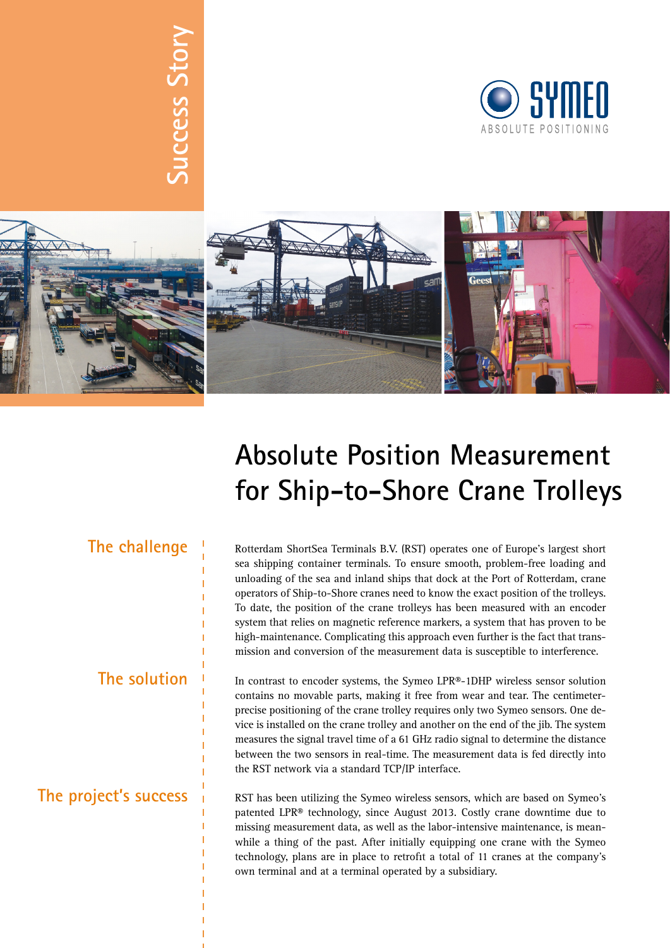# Success Story **Success Story**





## **Absolute Position Measurement for Ship-to-Shore Crane Trolleys**

## **The challenge**

**The solution**

### **The project's success**

Rotterdam ShortSea Terminals B.V. (RST) operates one of Europe's largest short sea shipping container terminals. To ensure smooth, problem-free loading and unloading of the sea and inland ships that dock at the Port of Rotterdam, crane operators of Ship-to-Shore cranes need to know the exact position of the trolleys. To date, the position of the crane trolleys has been measured with an encoder system that relies on magnetic reference markers, a system that has proven to be high-maintenance. Complicating this approach even further is the fact that transmission and conversion of the measurement data is susceptible to interference.

In contrast to encoder systems, the Symeo LPR®-1DHP wireless sensor solution contains no movable parts, making it free from wear and tear. The centimeterprecise positioning of the crane trolley requires only two Symeo sensors. One device is installed on the crane trolley and another on the end of the jib. The system measures the signal travel time of a 61 GHz radio signal to determine the distance between the two sensors in real-time. The measurement data is fed directly into the RST network via a standard TCP/IP interface.

RST has been utilizing the Symeo wireless sensors, which are based on Symeo's patented LPR® technology, since August 2013. Costly crane downtime due to missing measurement data, as well as the labor-intensive maintenance, is meanwhile a thing of the past. After initially equipping one crane with the Symeo technology, plans are in place to retrofit a total of 11 cranes at the company's own terminal and at a terminal operated by a subsidiary.